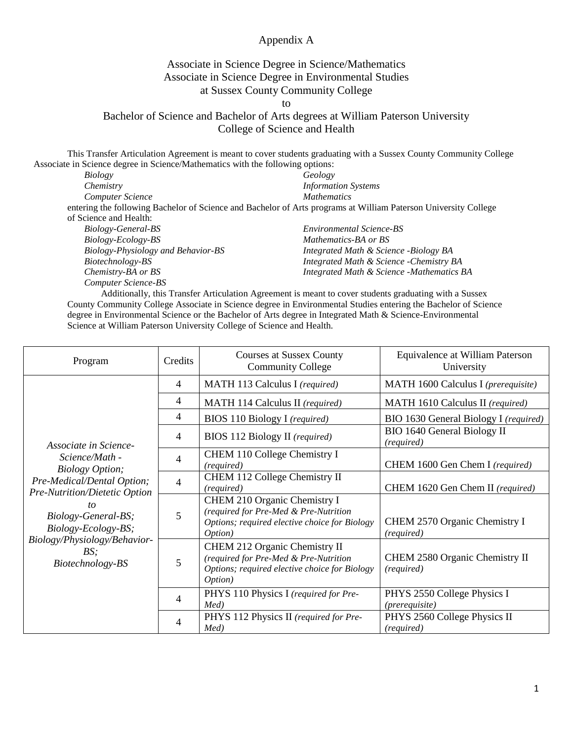## Appendix A

## Associate in Science Degree in Science/Mathematics Associate in Science Degree in Environmental Studies at Sussex County Community College

to

## Bachelor of Science and Bachelor of Arts degrees at William Paterson University College of Science and Health

This Transfer Articulation Agreement is meant to cover students graduating with a Sussex County Community College Associate in Science degree in Science/Mathematics with the following options:

| Biology                            | Geology                                                                                                         |  |
|------------------------------------|-----------------------------------------------------------------------------------------------------------------|--|
| Chemistry                          | <b>Information Systems</b>                                                                                      |  |
| Computer Science                   | <b>Mathematics</b>                                                                                              |  |
|                                    | entering the following Bachelor of Science and Bachelor of Arts programs at William Paterson University College |  |
| of Science and Health:             |                                                                                                                 |  |
| Biology-General-BS                 | Environmental Science-BS                                                                                        |  |
| Biology-Ecology-BS                 | Mathematics-BA or BS                                                                                            |  |
| Biology-Physiology and Behavior-BS | Integrated Math & Science -Biology BA                                                                           |  |
| Biotechnology-BS                   | Integrated Math & Science - Chemistry BA                                                                        |  |
|                                    |                                                                                                                 |  |

*Computer Science-BS* Additionally, this Transfer Articulation Agreement is meant to cover students graduating with a Sussex County Community College Associate in Science degree in Environmental Studies entering the Bachelor of Science degree in Environmental Science or the Bachelor of Arts degree in Integrated Math & Science-Environmental Science at William Paterson University College of Science and Health.

*Integrated Math & Science -Mathematics BA*

*Chemistry-BA or BS*

| Program                                                                                                                                | Credits        | <b>Courses at Sussex County</b><br><b>Community College</b>                                                                                | Equivalence at William Paterson<br>University    |
|----------------------------------------------------------------------------------------------------------------------------------------|----------------|--------------------------------------------------------------------------------------------------------------------------------------------|--------------------------------------------------|
|                                                                                                                                        | $\overline{4}$ | MATH 113 Calculus I (required)                                                                                                             | MATH 1600 Calculus I (prerequisite)              |
|                                                                                                                                        | 4              | MATH 114 Calculus II (required)                                                                                                            | MATH 1610 Calculus II (required)                 |
|                                                                                                                                        | 4              | <b>BIOS 110 Biology I</b> (required)                                                                                                       | BIO 1630 General Biology I (required)            |
| Associate in Science-                                                                                                                  | $\overline{4}$ | <b>BIOS 112 Biology II</b> (required)                                                                                                      | <b>BIO 1640 General Biology II</b><br>(required) |
| Science/Math -<br><b>Biology Option;</b>                                                                                               | 4              | CHEM 110 College Chemistry I<br>(required)                                                                                                 | CHEM 1600 Gen Chem I (required)                  |
| Pre-Medical/Dental Option;                                                                                                             | $\overline{4}$ | CHEM 112 College Chemistry II<br>(required)                                                                                                | CHEM 1620 Gen Chem II (required)                 |
| Pre-Nutrition/Dietetic Option<br>Biology-General-BS;<br>Biology-Ecology-BS;<br>Biology/Physiology/Behavior-<br>BS:<br>Biotechnology-BS | 5              | CHEM 210 Organic Chemistry I<br>(required for Pre-Med & Pre-Nutrition<br>Options; required elective choice for Biology<br>Option)          | CHEM 2570 Organic Chemistry I<br>(required)      |
|                                                                                                                                        | 5              | CHEM 212 Organic Chemistry II<br>(required for Pre-Med & Pre-Nutrition<br>Options; required elective choice for Biology<br><i>Option</i> ) | CHEM 2580 Organic Chemistry II<br>(required)     |
|                                                                                                                                        | 4              | PHYS 110 Physics I (required for Pre-<br>Med)                                                                                              | PHYS 2550 College Physics I<br>(prerequisite)    |
|                                                                                                                                        | 4              | PHYS 112 Physics II (required for Pre-<br>Med)                                                                                             | PHYS 2560 College Physics II<br>(required)       |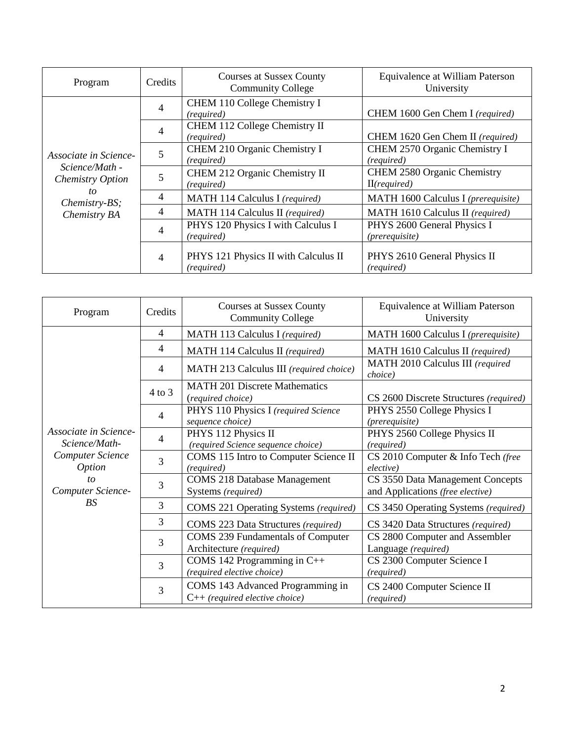| Program                                                     | Credits | <b>Courses at Sussex County</b><br><b>Community College</b> | Equivalence at William Paterson<br>University        |
|-------------------------------------------------------------|---------|-------------------------------------------------------------|------------------------------------------------------|
| Associate in Science-<br>Science/Math -<br>Chemistry Option | 4       | CHEM 110 College Chemistry I<br>(required)                  | CHEM 1600 Gen Chem I (required)                      |
|                                                             | 4       | CHEM 112 College Chemistry II<br>(required)                 | CHEM 1620 Gen Chem II (required)                     |
|                                                             | 5       | CHEM 210 Organic Chemistry I<br>(required)                  | CHEM 2570 Organic Chemistry I<br>(required)          |
|                                                             | 5       | CHEM 212 Organic Chemistry II<br>(required)                 | CHEM 2580 Organic Chemistry<br>II(required)          |
| to<br>Chemistry-BS;                                         | 4       | MATH 114 Calculus I (required)                              | MATH 1600 Calculus I (prerequisite)                  |
| Chemistry BA                                                | 4       | MATH 114 Calculus II (required)                             | MATH 1610 Calculus II (required)                     |
|                                                             | 4       | PHYS 120 Physics I with Calculus I<br>(required)            | PHYS 2600 General Physics I<br><i>(prerequisite)</i> |
|                                                             | 4       | PHYS 121 Physics II with Calculus II<br>(required)          | PHYS 2610 General Physics II<br>(required)           |

| Program                                | Credits        | <b>Courses at Sussex County</b><br><b>Community College</b>          | Equivalence at William Paterson<br>University                        |
|----------------------------------------|----------------|----------------------------------------------------------------------|----------------------------------------------------------------------|
|                                        | $\overline{4}$ | MATH 113 Calculus I (required)                                       | MATH 1600 Calculus I (prerequisite)                                  |
|                                        | $\overline{4}$ | MATH 114 Calculus II (required)                                      | MATH 1610 Calculus II (required)                                     |
|                                        | $\overline{4}$ | MATH 213 Calculus III (required choice)                              | MATH 2010 Calculus III (required<br>choice)                          |
|                                        | $4$ to $3$     | <b>MATH 201 Discrete Mathematics</b><br>(required choice)            | CS 2600 Discrete Structures (required)                               |
|                                        | 4              | PHYS 110 Physics I (required Science<br>sequence choice)             | PHYS 2550 College Physics I<br>(prerequisite)                        |
| Associate in Science-<br>Science/Math- | $\overline{4}$ | PHYS 112 Physics II<br>(required Science sequence choice)            | PHYS 2560 College Physics II<br>(required)                           |
| Computer Science<br><i>Option</i>      | 3              | COMS 115 Intro to Computer Science II<br>(required)                  | CS 2010 Computer & Info Tech (free<br>elective)                      |
| to<br>Computer Science-                | 3              | <b>COMS 218 Database Management</b><br>Systems (required)            | CS 3550 Data Management Concepts<br>and Applications (free elective) |
| BS.                                    | 3              | COMS 221 Operating Systems (required)                                | CS 3450 Operating Systems (required)                                 |
|                                        | 3              | COMS 223 Data Structures (required)                                  | CS 3420 Data Structures (required)                                   |
|                                        | 3              | <b>COMS 239 Fundamentals of Computer</b><br>Architecture (required)  | CS 2800 Computer and Assembler<br>Language (required)                |
|                                        | 3              | COMS 142 Programming in $C++$<br>(required elective choice)          | CS 2300 Computer Science I<br>(required)                             |
|                                        | 3              | COMS 143 Advanced Programming in<br>$C++$ (required elective choice) | CS 2400 Computer Science II<br>(required)                            |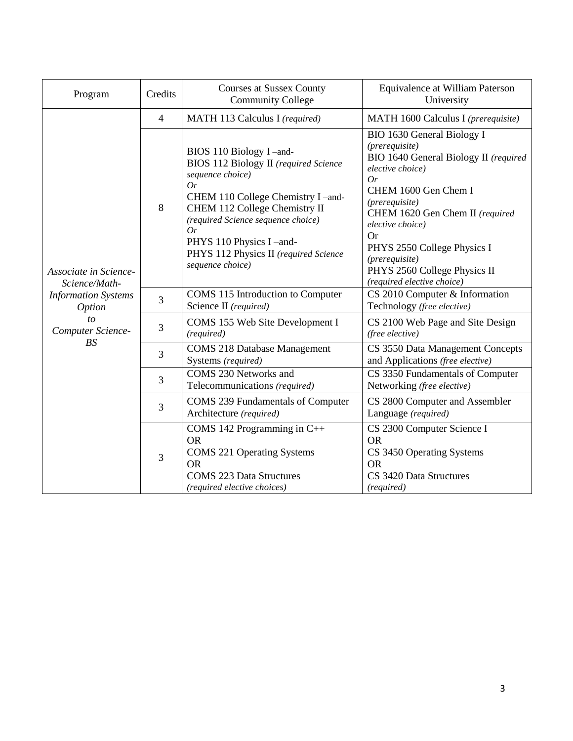| Program                                     | Credits | <b>Courses at Sussex County</b><br><b>Community College</b>                                                                                                                                                                                                                                                  | Equivalence at William Paterson<br>University                                                                                                                                                                                                                                                                                              |
|---------------------------------------------|---------|--------------------------------------------------------------------------------------------------------------------------------------------------------------------------------------------------------------------------------------------------------------------------------------------------------------|--------------------------------------------------------------------------------------------------------------------------------------------------------------------------------------------------------------------------------------------------------------------------------------------------------------------------------------------|
|                                             | 4       | MATH 113 Calculus I (required)                                                                                                                                                                                                                                                                               | MATH 1600 Calculus I (prerequisite)                                                                                                                                                                                                                                                                                                        |
| Associate in Science-<br>Science/Math-      | 8       | BIOS 110 Biology I-and-<br><b>BIOS 112 Biology II</b> (required Science<br>sequence choice)<br>Or<br>CHEM 110 College Chemistry I -and-<br>CHEM 112 College Chemistry II<br>(required Science sequence choice)<br>Or<br>PHYS 110 Physics I-and-<br>PHYS 112 Physics II (required Science<br>sequence choice) | BIO 1630 General Biology I<br>(prerequire)<br>BIO 1640 General Biology II (required<br>elective choice)<br>Or<br>CHEM 1600 Gen Chem I<br>(prerequisite)<br>CHEM 1620 Gen Chem II (required<br>elective choice)<br><b>Or</b><br>PHYS 2550 College Physics I<br>(prerequisite)<br>PHYS 2560 College Physics II<br>(required elective choice) |
| <b>Information Systems</b><br><i>Option</i> | 3       | COMS 115 Introduction to Computer<br>Science II (required)                                                                                                                                                                                                                                                   | CS 2010 Computer & Information<br>Technology (free elective)                                                                                                                                                                                                                                                                               |
| to<br>Computer Science-                     | 3       | COMS 155 Web Site Development I<br>(required)                                                                                                                                                                                                                                                                | CS 2100 Web Page and Site Design<br>(free elective)                                                                                                                                                                                                                                                                                        |
| BS                                          | 3       | <b>COMS 218 Database Management</b><br>Systems (required)                                                                                                                                                                                                                                                    | CS 3550 Data Management Concepts<br>and Applications (free elective)                                                                                                                                                                                                                                                                       |
|                                             | 3       | COMS 230 Networks and<br>Telecommunications (required)                                                                                                                                                                                                                                                       | CS 3350 Fundamentals of Computer<br>Networking (free elective)                                                                                                                                                                                                                                                                             |
|                                             | 3       | <b>COMS 239 Fundamentals of Computer</b><br>Architecture (required)                                                                                                                                                                                                                                          | CS 2800 Computer and Assembler<br>Language (required)                                                                                                                                                                                                                                                                                      |
|                                             | 3       | COMS 142 Programming in $C++$<br><b>OR</b><br><b>COMS 221 Operating Systems</b><br><b>OR</b><br><b>COMS 223 Data Structures</b><br>(required elective choices)                                                                                                                                               | CS 2300 Computer Science I<br><b>OR</b><br>CS 3450 Operating Systems<br><b>OR</b><br>CS 3420 Data Structures<br>(required)                                                                                                                                                                                                                 |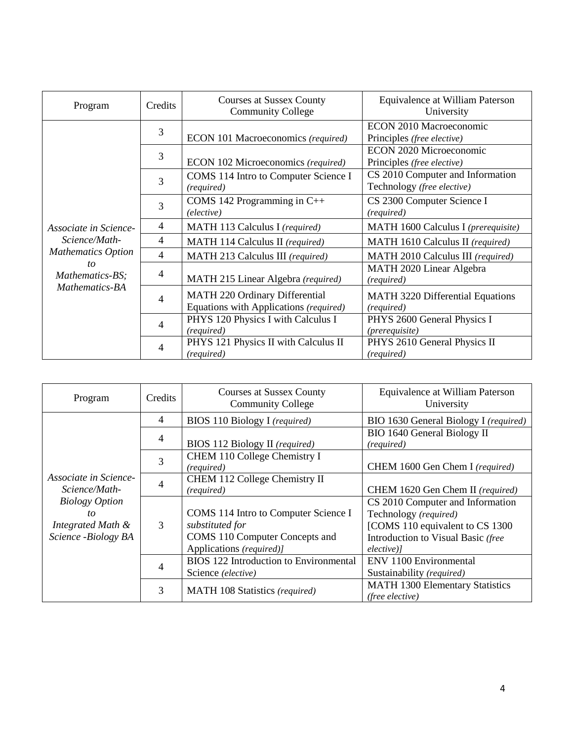| Program                                 | Credits | <b>Courses at Sussex County</b><br><b>Community College</b>              | Equivalence at William Paterson<br>University                  |
|-----------------------------------------|---------|--------------------------------------------------------------------------|----------------------------------------------------------------|
|                                         | 3       | ECON 101 Macroeconomics (required)                                       | ECON 2010 Macroeconomic<br>Principles (free elective)          |
|                                         | 3       | ECON 102 Microeconomics (required)                                       | ECON 2020 Microeconomic<br>Principles (free elective)          |
|                                         | 3       | COMS 114 Intro to Computer Science I<br>(required)                       | CS 2010 Computer and Information<br>Technology (free elective) |
|                                         | 3       | COMS 142 Programming in C++<br>(elective)                                | CS 2300 Computer Science I<br>(required)                       |
| Associate in Science-                   | 4       | MATH 113 Calculus I (required)                                           | MATH 1600 Calculus I (prerequisite)                            |
| Science/Math-                           | 4       | MATH 114 Calculus II (required)                                          | MATH 1610 Calculus II (required)                               |
| <b>Mathematics Option</b>               | 4       | MATH 213 Calculus III (required)                                         | MATH 2010 Calculus III (required)                              |
| to<br>Mathematics-BS;<br>Mathematics-BA | 4       | MATH 215 Linear Algebra (required)                                       | MATH 2020 Linear Algebra<br>(required)                         |
|                                         | 4       | MATH 220 Ordinary Differential<br>Equations with Applications (required) | MATH 3220 Differential Equations<br>(required)                 |
|                                         | 4       | PHYS 120 Physics I with Calculus I<br>(required)                         | PHYS 2600 General Physics I<br>(prerequisite)                  |
|                                         | 4       | PHYS 121 Physics II with Calculus II<br>(required)                       | PHYS 2610 General Physics II<br>(required)                     |

| Program                                                                      | Credits        | <b>Courses at Sussex County</b><br><b>Community College</b>                                                           | Equivalence at William Paterson<br>University                                                                                                       |
|------------------------------------------------------------------------------|----------------|-----------------------------------------------------------------------------------------------------------------------|-----------------------------------------------------------------------------------------------------------------------------------------------------|
|                                                                              | $\overline{4}$ | <b>BIOS 110 Biology I</b> (required)                                                                                  | BIO 1630 General Biology I (required)                                                                                                               |
|                                                                              | $\overline{4}$ | BIOS 112 Biology II (required)                                                                                        | <b>BIO 1640 General Biology II</b><br>(required)                                                                                                    |
|                                                                              | 3              | CHEM 110 College Chemistry I<br>(required)                                                                            | CHEM 1600 Gen Chem I (required)                                                                                                                     |
| Associate in Science-<br>Science/Math-                                       |                | CHEM 112 College Chemistry II<br>(required)                                                                           | CHEM 1620 Gen Chem II (required)                                                                                                                    |
| <b>Biology Option</b><br>$\iota$<br>Integrated Math &<br>Science -Biology BA | 3              | COMS 114 Intro to Computer Science I<br>substituted for<br>COMS 110 Computer Concepts and<br>Applications (required)] | CS 2010 Computer and Information<br>Technology (required)<br>[COMS 110 equivalent to CS 1300<br>Introduction to Visual Basic (free<br>$electric)$ ] |
|                                                                              | 4              | <b>BIOS 122 Introduction to Environmental</b><br>Science (elective)                                                   | ENV 1100 Environmental<br>Sustainability (required)                                                                                                 |
|                                                                              | 3              | MATH 108 Statistics (required)                                                                                        | <b>MATH 1300 Elementary Statistics</b><br>(free elective)                                                                                           |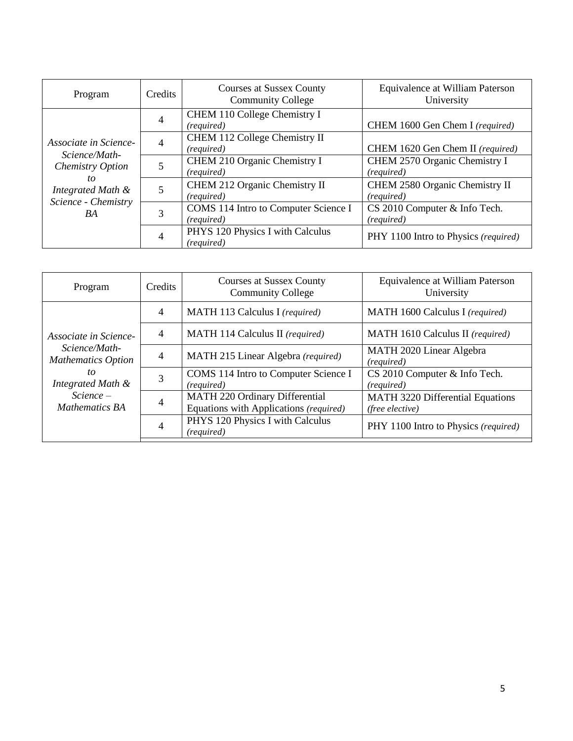| Program                                                                                                                   | Credits | <b>Courses at Sussex County</b><br><b>Community College</b> | Equivalence at William Paterson<br>University |
|---------------------------------------------------------------------------------------------------------------------------|---------|-------------------------------------------------------------|-----------------------------------------------|
| Associate in Science-<br>Science/Math-<br>Chemistry Option<br>to<br>Integrated Math &<br>Science - Chemistry<br><b>BA</b> | 4       | CHEM 110 College Chemistry I<br>(required)                  | CHEM 1600 Gen Chem I (required)               |
|                                                                                                                           | 4       | CHEM 112 College Chemistry II<br>(required)                 | CHEM 1620 Gen Chem II (required)              |
|                                                                                                                           |         | CHEM 210 Organic Chemistry I<br>(required)                  | CHEM 2570 Organic Chemistry I<br>(required)   |
|                                                                                                                           |         | CHEM 212 Organic Chemistry II<br>(required)                 | CHEM 2580 Organic Chemistry II<br>(required)  |
|                                                                                                                           | 3       | COMS 114 Intro to Computer Science I<br>(required)          | CS 2010 Computer & Info Tech.<br>(required)   |
|                                                                                                                           | 4       | PHYS 120 Physics I with Calculus<br>(required)              | PHY 1100 Intro to Physics (required)          |

| Program                                                                                                                         | Credits | <b>Courses at Sussex County</b><br><b>Community College</b>                     | Equivalence at William Paterson<br>University              |
|---------------------------------------------------------------------------------------------------------------------------------|---------|---------------------------------------------------------------------------------|------------------------------------------------------------|
| Associate in Science-<br>Science/Math-<br><b>Mathematics Option</b><br>to<br>Integrated Math &<br>$Science -$<br>Mathematics BA | 4       | MATH 113 Calculus I (required)                                                  | MATH 1600 Calculus I (required)                            |
|                                                                                                                                 | 4       | MATH 114 Calculus II (required)                                                 | MATH 1610 Calculus II (required)                           |
|                                                                                                                                 | 4       | MATH 215 Linear Algebra (required)                                              | MATH 2020 Linear Algebra<br>(required)                     |
|                                                                                                                                 | 3       | COMS 114 Intro to Computer Science I<br>(required)                              | CS 2010 Computer & Info Tech.<br>(required)                |
|                                                                                                                                 |         | <b>MATH 220 Ordinary Differential</b><br>Equations with Applications (required) | <b>MATH 3220 Differential Equations</b><br>(free elective) |
|                                                                                                                                 | 4       | PHYS 120 Physics I with Calculus<br>(required)                                  | PHY 1100 Intro to Physics (required)                       |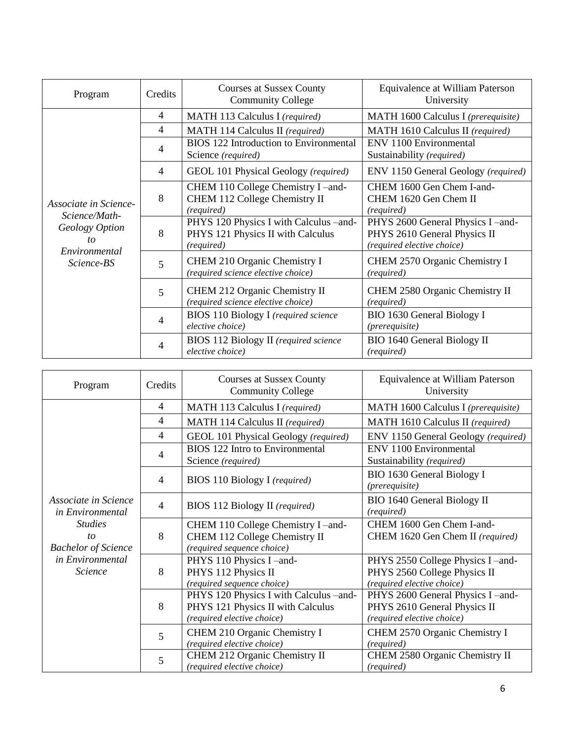| Program                                                                                       | Credits        | <b>Courses at Sussex County</b><br><b>Community College</b>                               | Equivalence at William Paterson<br>University                                                   |
|-----------------------------------------------------------------------------------------------|----------------|-------------------------------------------------------------------------------------------|-------------------------------------------------------------------------------------------------|
|                                                                                               | $\overline{4}$ | MATH 113 Calculus I (required)                                                            | MATH 1600 Calculus I (prerequisite)                                                             |
|                                                                                               | 4              | MATH 114 Calculus II (required)                                                           | MATH 1610 Calculus II (required)                                                                |
|                                                                                               | 4              | BIOS 122 Introduction to Environmental<br>Science (required)                              | ENV 1100 Environmental<br>Sustainability (required)                                             |
|                                                                                               | $\overline{4}$ | GEOL 101 Physical Geology (required)                                                      | ENV 1150 General Geology (required)                                                             |
| Associate in Science-<br>Science/Math-<br>Geology Option<br>to<br>Environmental<br>Science-BS | 8              | CHEM 110 College Chemistry I-and-<br>CHEM 112 College Chemistry II<br>(required)          | CHEM 1600 Gen Chem I-and-<br>CHEM 1620 Gen Chem II<br>(required)                                |
|                                                                                               | 8              | PHYS 120 Physics I with Calculus -and-<br>PHYS 121 Physics II with Calculus<br>(required) | PHYS 2600 General Physics I -and-<br>PHYS 2610 General Physics II<br>(required elective choice) |
|                                                                                               | 5              | CHEM 210 Organic Chemistry I<br>(required science elective choice)                        | CHEM 2570 Organic Chemistry I<br>(required)                                                     |
|                                                                                               | 5              | CHEM 212 Organic Chemistry II<br>(required science elective choice)                       | CHEM 2580 Organic Chemistry II<br>(required)                                                    |
|                                                                                               | 4              | <b>BIOS 110 Biology I</b> (required science<br>elective choice)                           | BIO 1630 General Biology I<br>(prerequisite)                                                    |
|                                                                                               | 4              | BIOS 112 Biology II (required science<br>elective choice)                                 | BIO 1640 General Biology II<br>(required)                                                       |

| Program                                                                | Credits        | <b>Courses at Sussex County</b><br><b>Community College</b>                                               | Equivalence at William Paterson<br>University                                                  |
|------------------------------------------------------------------------|----------------|-----------------------------------------------------------------------------------------------------------|------------------------------------------------------------------------------------------------|
|                                                                        | $\overline{4}$ | MATH 113 Calculus I (required)                                                                            | MATH 1600 Calculus I (prerequisite)                                                            |
|                                                                        | $\overline{4}$ | MATH 114 Calculus II (required)                                                                           | MATH 1610 Calculus II (required)                                                               |
|                                                                        | $\overline{4}$ | GEOL 101 Physical Geology (required)                                                                      | ENV 1150 General Geology (required)                                                            |
|                                                                        | 4              | BIOS 122 Intro to Environmental<br>Science (required)                                                     | ENV 1100 Environmental<br>Sustainability (required)                                            |
|                                                                        | $\overline{4}$ | <b>BIOS</b> 110 Biology I (required)                                                                      | BIO 1630 General Biology I<br>(prerequisite)                                                   |
| Associate in Science<br>in Environmental                               | $\overline{4}$ | BIOS 112 Biology II (required)                                                                            | <b>BIO 1640 General Biology II</b><br>(required)                                               |
| <b>Studies</b>                                                         |                | CHEM 110 College Chemistry I-and-                                                                         | CHEM 1600 Gen Chem I-and-                                                                      |
| to<br><b>Bachelor of Science</b><br>in Environmental<br><b>Science</b> | 8              | CHEM 112 College Chemistry II<br>(required sequence choice)                                               | CHEM 1620 Gen Chem II (required)                                                               |
|                                                                        | 8              | PHYS 110 Physics I-and-<br>PHYS 112 Physics II<br>(required sequence choice)                              | PHYS 2550 College Physics I-and-<br>PHYS 2560 College Physics II<br>(required elective choice) |
|                                                                        | 8              | PHYS 120 Physics I with Calculus -and-<br>PHYS 121 Physics II with Calculus<br>(required elective choice) | PHYS 2600 General Physics I-and-<br>PHYS 2610 General Physics II<br>(required elective choice) |
|                                                                        | 5              | CHEM 210 Organic Chemistry I<br>(required elective choice)                                                | CHEM 2570 Organic Chemistry I<br>(required)                                                    |
|                                                                        | 5              | CHEM 212 Organic Chemistry II<br>(required elective choice)                                               | CHEM 2580 Organic Chemistry II<br>(required)                                                   |